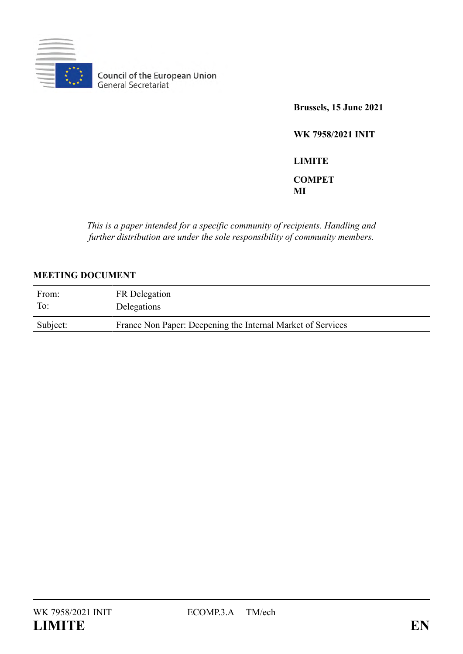

**Council of the European Union**<br>General Secretariat

**Brussels, 15 June 2021**

**WK 7958/2021 INIT**

**LIMITE COMPET MI**

*This is a paper intended for a specific community of recipients. Handling and further distribution are under the sole responsibility of community members.*

#### **MEETING DOCUMENT**

| From:    | FR Delegation                                               |
|----------|-------------------------------------------------------------|
| To:      | Delegations                                                 |
| Subject: | France Non Paper: Deepening the Internal Market of Services |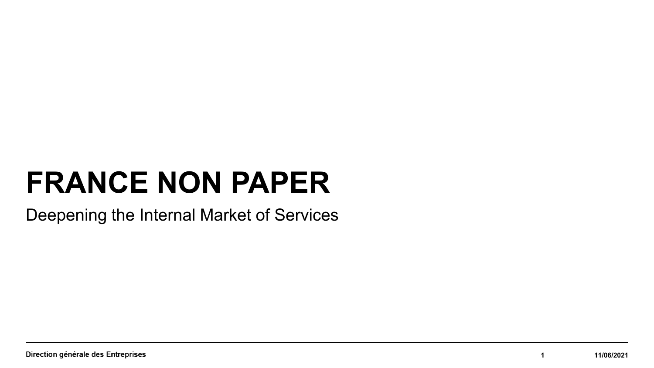# **FRANCE NON PAPER**

Deepening the Internal Market of Services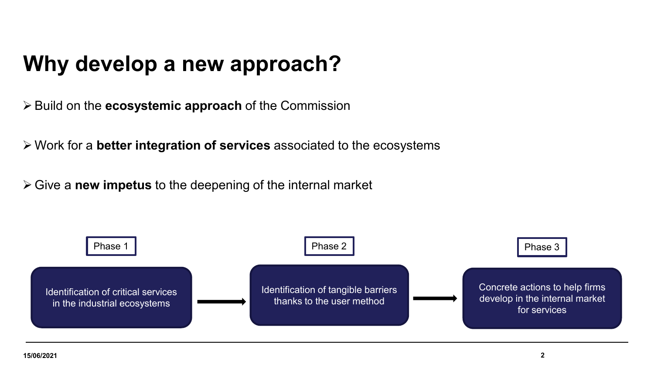## **Why develop a new approach?**

Build on the **ecosystemic approach** of the Commission

Work for a **better integration of services** associated to the ecosystems

Give a **new impetus** to the deepening of the internal market

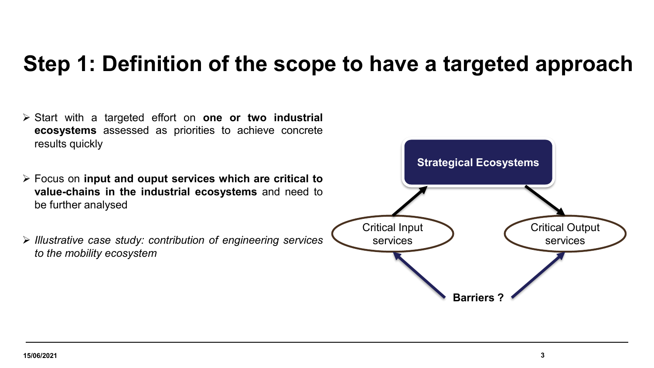#### **Step 1: Definition of the scope to have a targeted approach**

- Start with a targeted effort on **one or two industrial ecosystems** assessed as priorities to achieve concrete results quickly
- Focus on **input and ouput services which are critical to value-chains in the industrial ecosystems** and need to be further analysed
- *Illustrative case study: contribution of engineering services to the mobility ecosystem*

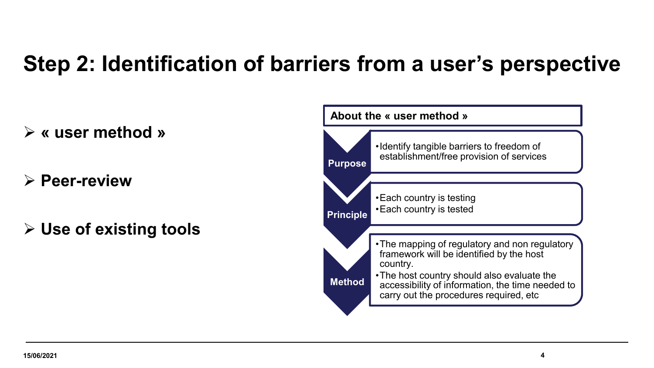## **Step 2: Identification of barriers from a user's perspective**

- **« user method »**
- **Peer-review**
- **Use of existing tools**